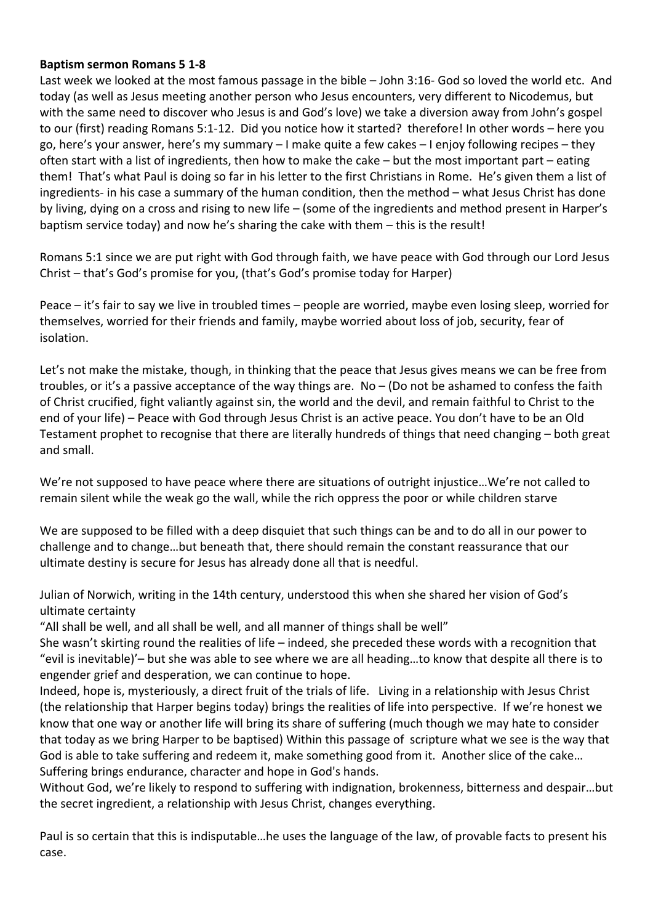## **Baptism sermon Romans 5 1-8**

Last week we looked at the most famous passage in the bible – John 3:16- God so loved the world etc. And today (as well as Jesus meeting another person who Jesus encounters, very different to Nicodemus, but with the same need to discover who Jesus is and God's love) we take a diversion away from John's gospel to our (first) reading Romans 5:1-12. Did you notice how it started? therefore! In other words – here you go, here's your answer, here's my summary – I make quite a few cakes – I enjoy following recipes – they often start with a list of ingredients, then how to make the cake – but the most important part – eating them! That's what Paul is doing so far in his letter to the first Christians in Rome. He's given them a list of ingredients- in his case a summary of the human condition, then the method – what Jesus Christ has done by living, dying on a cross and rising to new life – (some of the ingredients and method present in Harper's baptism service today) and now he's sharing the cake with them – this is the result!

Romans 5:1 since we are put right with God through faith, we have peace with God through our Lord Jesus Christ – that's God's promise for you, (that's God's promise today for Harper)

Peace – it's fair to say we live in troubled times – people are worried, maybe even losing sleep, worried for themselves, worried for their friends and family, maybe worried about loss of job, security, fear of isolation.

Let's not make the mistake, though, in thinking that the peace that Jesus gives means we can be free from troubles, or it's a passive acceptance of the way things are. No  $-$  (Do not be ashamed to confess the faith of Christ crucified, fight valiantly against sin, the world and the devil, and remain faithful to Christ to the end of your life) – Peace with God through Jesus Christ is an active peace. You don't have to be an Old Testament prophet to recognise that there are literally hundreds of things that need changing – both great and small.

We're not supposed to have peace where there are situations of outright injustice…We're not called to remain silent while the weak go the wall, while the rich oppress the poor or while children starve

We are supposed to be filled with a deep disquiet that such things can be and to do all in our power to challenge and to change…but beneath that, there should remain the constant reassurance that our ultimate destiny is secure for Jesus has already done all that is needful.

Julian of Norwich, writing in the 14th century, understood this when she shared her vision of God's ultimate certainty

"All shall be well, and all shall be well, and all manner of things shall be well"

She wasn't skirting round the realities of life – indeed, she preceded these words with a recognition that "evil is inevitable)'– but she was able to see where we are all heading…to know that despite all there is to engender grief and desperation, we can continue to hope.

Indeed, hope is, mysteriously, a direct fruit of the trials of life. Living in a relationship with Jesus Christ (the relationship that Harper begins today) brings the realities of life into perspective. If we're honest we know that one way or another life will bring its share of suffering (much though we may hate to consider that today as we bring Harper to be baptised) Within this passage of scripture what we see is the way that God is able to take suffering and redeem it, make something good from it. Another slice of the cake… Suffering brings endurance, character and hope in God's hands.

Without God, we're likely to respond to suffering with indignation, brokenness, bitterness and despair…but the secret ingredient, a relationship with Jesus Christ, changes everything.

Paul is so certain that this is indisputable…he uses the language of the law, of provable facts to present his case.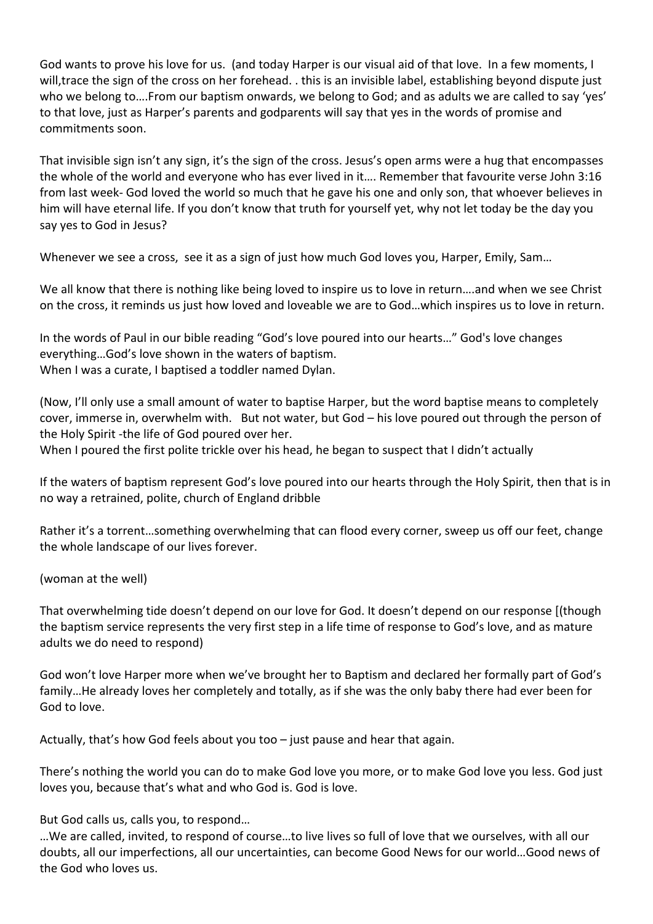God wants to prove his love for us. (and today Harper is our visual aid of that love. In a few moments, I will,trace the sign of the cross on her forehead. . this is an invisible label, establishing beyond dispute just who we belong to….From our baptism onwards, we belong to God; and as adults we are called to say 'yes' to that love, just as Harper's parents and godparents will say that yes in the words of promise and commitments soon.

That invisible sign isn't any sign, it's the sign of the cross. Jesus's open arms were a hug that encompasses the whole of the world and everyone who has ever lived in it…. Remember that favourite verse John 3:16 from last week- God loved the world so much that he gave his one and only son, that whoever believes in him will have eternal life. If you don't know that truth for yourself yet, why not let today be the day you say yes to God in Jesus?

Whenever we see a cross, see it as a sign of just how much God loves you, Harper, Emily, Sam…

We all know that there is nothing like being loved to inspire us to love in return....and when we see Christ on the cross, it reminds us just how loved and loveable we are to God…which inspires us to love in return.

In the words of Paul in our bible reading "God's love poured into our hearts…" God's love changes everything…God's love shown in the waters of baptism. When I was a curate, I baptised a toddler named Dylan.

(Now, I'll only use a small amount of water to baptise Harper, but the word baptise means to completely cover, immerse in, overwhelm with. But not water, but God – his love poured out through the person of the Holy Spirit -the life of God poured over her.

When I poured the first polite trickle over his head, he began to suspect that I didn't actually

If the waters of baptism represent God's love poured into our hearts through the Holy Spirit, then that is in no way a retrained, polite, church of England dribble

Rather it's a torrent…something overwhelming that can flood every corner, sweep us off our feet, change the whole landscape of our lives forever.

(woman at the well)

That overwhelming tide doesn't depend on our love for God. It doesn't depend on our response [(though the baptism service represents the very first step in a life time of response to God's love, and as mature adults we do need to respond)

God won't love Harper more when we've brought her to Baptism and declared her formally part of God's family…He already loves her completely and totally, as if she was the only baby there had ever been for God to love.

Actually, that's how God feels about you too – just pause and hear that again.

There's nothing the world you can do to make God love you more, or to make God love you less. God just loves you, because that's what and who God is. God is love.

But God calls us, calls you, to respond…

…We are called, invited, to respond of course…to live lives so full of love that we ourselves, with all our doubts, all our imperfections, all our uncertainties, can become Good News for our world…Good news of the God who loves us.